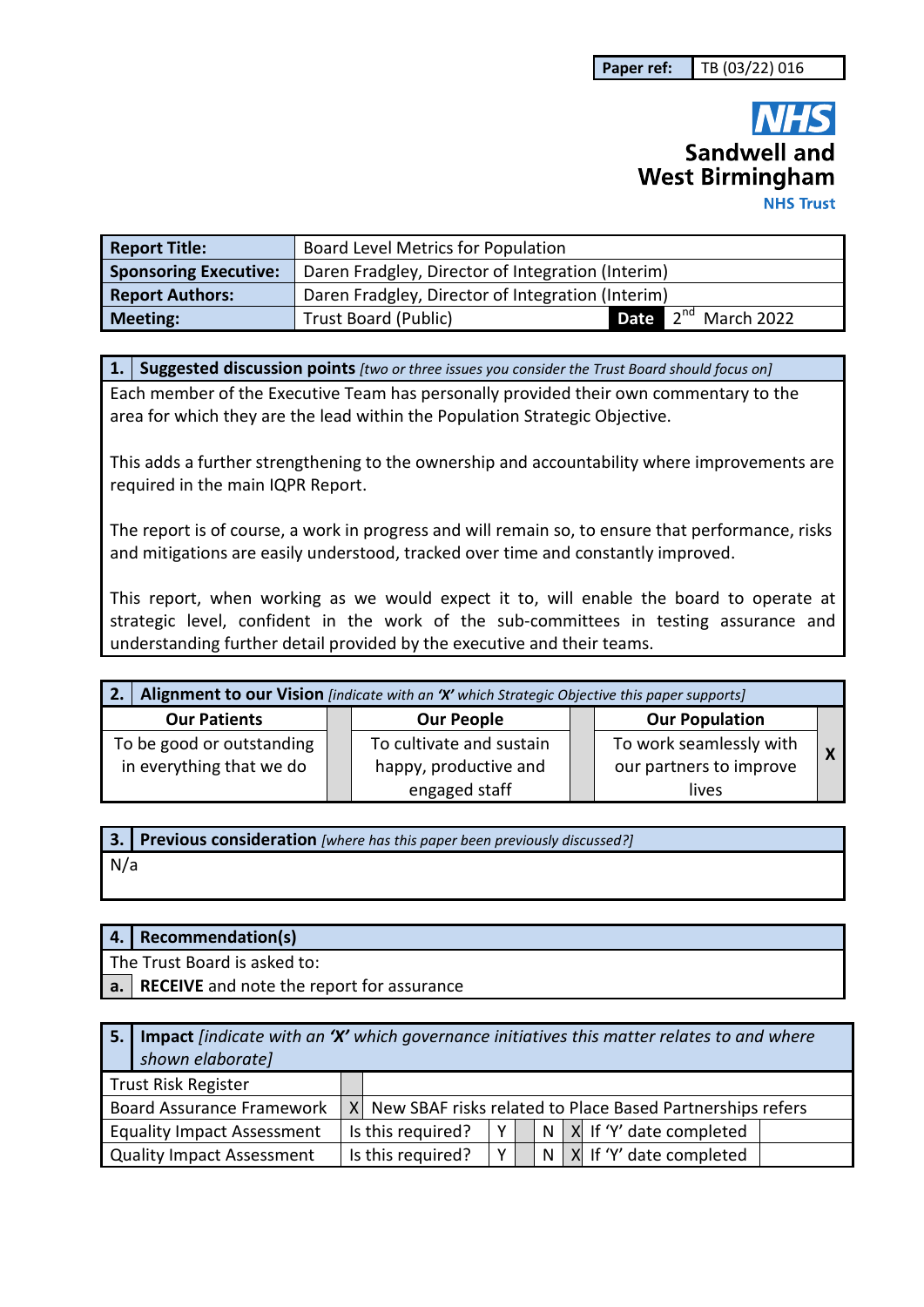# Sandwell and **West Birmingham NHS Trust**

| <b>Report Title:</b>         | Board Level Metrics for Population                |                                 |  |  |  |  |
|------------------------------|---------------------------------------------------|---------------------------------|--|--|--|--|
| <b>Sponsoring Executive:</b> | Daren Fradgley, Director of Integration (Interim) |                                 |  |  |  |  |
| <b>Report Authors:</b>       | Daren Fradgley, Director of Integration (Interim) |                                 |  |  |  |  |
| <b>Meeting:</b>              | <b>Trust Board (Public)</b>                       | Date 2 <sup>nd</sup> March 2022 |  |  |  |  |

**1. Suggested discussion points** *[two or three issues you consider the Trust Board should focus on]* 

Each member of the Executive Team has personally provided their own commentary to the area for which they are the lead within the Population Strategic Objective.

This adds a further strengthening to the ownership and accountability where improvements are required in the main IQPR Report.

The report is of course, a work in progress and will remain so, to ensure that performance, risks and mitigations are easily understood, tracked over time and constantly improved.

This report, when working as we would expect it to, will enable the board to operate at strategic level, confident in the work of the sub-committees in testing assurance and understanding further detail provided by the executive and their teams.

| Alignment to our Vision [indicate with an 'X' which Strategic Objective this paper supports] |  |                          |  |                         |  |
|----------------------------------------------------------------------------------------------|--|--------------------------|--|-------------------------|--|
| <b>Our Patients</b>                                                                          |  | <b>Our People</b>        |  | <b>Our Population</b>   |  |
| To be good or outstanding                                                                    |  | To cultivate and sustain |  | To work seamlessly with |  |
| in everything that we do                                                                     |  | happy, productive and    |  | our partners to improve |  |
|                                                                                              |  | engaged staff            |  | lives                   |  |

|     | 3. Previous consideration [where has this paper been previously discussed?] |
|-----|-----------------------------------------------------------------------------|
| N/a |                                                                             |

|                                   | 4. | Recommendation(s)                                                                                                     |                   |   |  |   |  |                         |
|-----------------------------------|----|-----------------------------------------------------------------------------------------------------------------------|-------------------|---|--|---|--|-------------------------|
|                                   |    | The Trust Board is asked to:                                                                                          |                   |   |  |   |  |                         |
|                                   | a. | <b>RECEIVE</b> and note the report for assurance                                                                      |                   |   |  |   |  |                         |
|                                   |    |                                                                                                                       |                   |   |  |   |  |                         |
|                                   | 5. | <b>Impact</b> findicate with an 'X' which governance initiatives this matter relates to and where<br>shown elaborate] |                   |   |  |   |  |                         |
| <b>Trust Risk Register</b>        |    |                                                                                                                       |                   |   |  |   |  |                         |
|                                   |    | <b>Board Assurance Framework</b><br>X New SBAF risks related to Place Based Partnerships refers                       |                   |   |  |   |  |                         |
| <b>Equality Impact Assessment</b> |    |                                                                                                                       | Is this required? | Y |  | N |  | X If 'Y' date completed |

Quality Impact Assessment | Is this required?  $|Y|$  | N | X | If 'Y' date completed